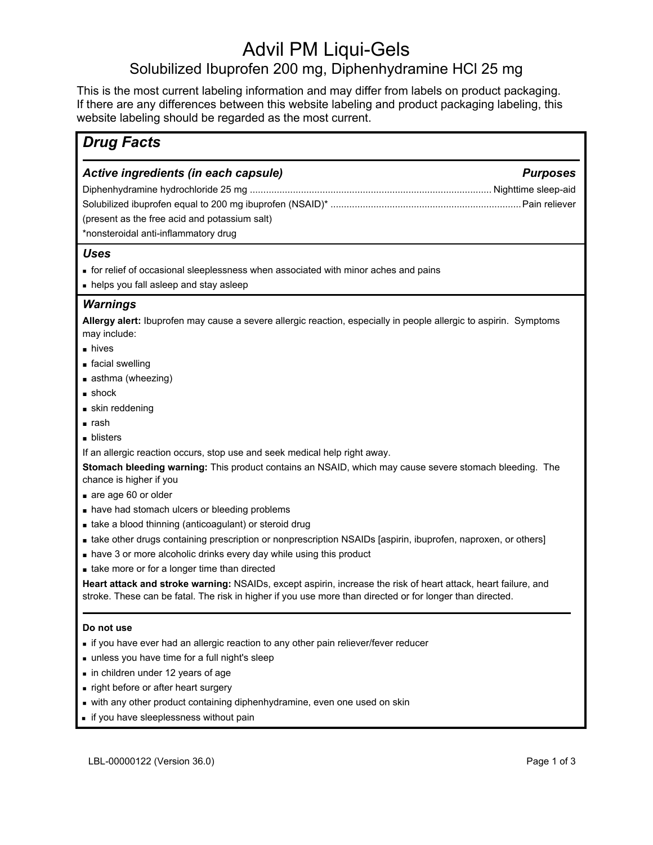# Advil PM Liqui-Gels

# Solubilized Ibuprofen 200 mg, Diphenhydramine HCl 25 mg

This is the most current labeling information and may differ from labels on product packaging. If there are any differences between this website labeling and product packaging labeling, this website labeling should be regarded as the most current.

| <b>Drug Facts</b>                                                                                                                                                                                                                    |                 |
|--------------------------------------------------------------------------------------------------------------------------------------------------------------------------------------------------------------------------------------|-----------------|
| Active ingredients (in each capsule)<br>(present as the free acid and potassium salt)<br>*nonsteroidal anti-inflammatory drug                                                                                                        | <b>Purposes</b> |
| <b>Uses</b><br>• for relief of occasional sleeplessness when associated with minor aches and pains<br>• helps you fall asleep and stay asleep                                                                                        |                 |
| <b>Warnings</b><br>Allergy alert: Ibuprofen may cause a severe allergic reaction, especially in people allergic to aspirin. Symptoms<br>may include:                                                                                 |                 |
| nives<br>■ facial swelling<br>asthma (wheezing)<br>$\blacksquare$ shock                                                                                                                                                              |                 |
| skin reddening<br>∎ rash<br>$\blacksquare$ blisters                                                                                                                                                                                  |                 |
| If an allergic reaction occurs, stop use and seek medical help right away.<br>Stomach bleeding warning: This product contains an NSAID, which may cause severe stomach bleeding. The<br>chance is higher if you                      |                 |
| are age 60 or older<br>nave had stomach ulcers or bleeding problems<br>take a blood thinning (anticoagulant) or steroid drug                                                                                                         |                 |
| • take other drugs containing prescription or nonprescription NSAIDs [aspirin, ibuprofen, naproxen, or others]<br>nave 3 or more alcoholic drinks every day while using this product<br>take more or for a longer time than directed |                 |
| Heart attack and stroke warning: NSAIDs, except aspirin, increase the risk of heart attack, heart failure, and<br>stroke. These can be fatal. The risk in higher if you use more than directed or for longer than directed.          |                 |

### **Do not use**

- **if you have ever had an allergic reaction to any other pain reliever/fever reducer**
- unless you have time for a full night's sleep
- **in children under 12 years of age**
- **n** right before or after heart surgery
- with any other product containing diphenhydramine, even one used on skin
- if you have sleeplessness without pain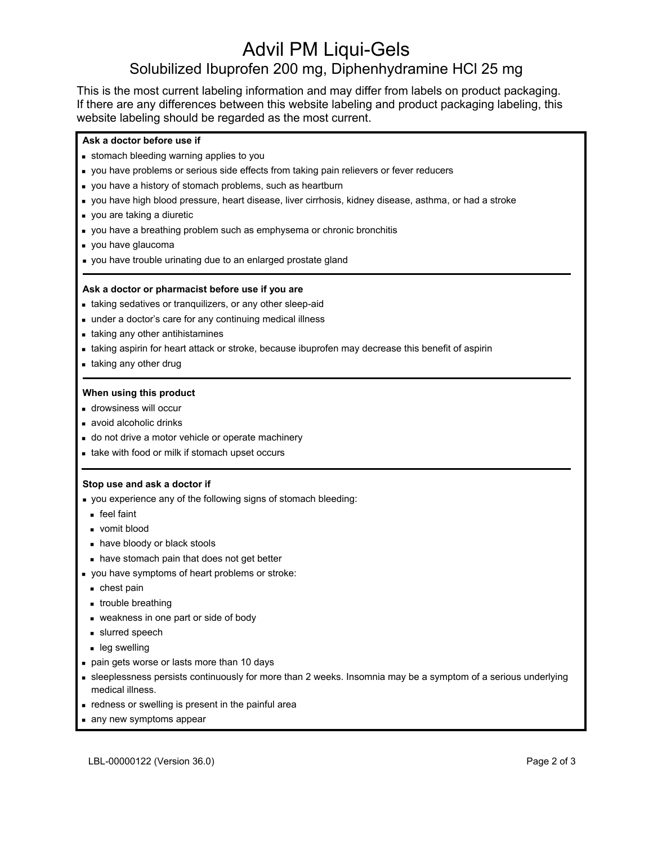# Advil PM Liqui-Gels Solubilized Ibuprofen 200 mg, Diphenhydramine HCl 25 mg

This is the most current labeling information and may differ from labels on product packaging. If there are any differences between this website labeling and product packaging labeling, this website labeling should be regarded as the most current.

### **Ask a doctor before use if**

- stomach bleeding warning applies to you
- you have problems or serious side effects from taking pain relievers or fever reducers
- you have a history of stomach problems, such as heartburn
- you have high blood pressure, heart disease, liver cirrhosis, kidney disease, asthma, or had a stroke
- you are taking a diuretic
- you have a breathing problem such as emphysema or chronic bronchitis
- you have glaucoma
- you have trouble urinating due to an enlarged prostate gland

#### **Ask a doctor or pharmacist before use if you are**

- taking sedatives or tranquilizers, or any other sleep-aid
- under a doctor's care for any continuing medical illness
- **taking any other antihistamines**
- taking aspirin for heart attack or stroke, because ibuprofen may decrease this benefit of aspirin
- **taking any other drug**

#### **When using this product**

- **drowsiness will occur**
- **avoid alcoholic drinks**
- o do not drive a motor vehicle or operate machinery
- **take with food or milk if stomach upset occurs**

#### **Stop use and ask a doctor if**

- you experience any of the following signs of stomach bleeding:
- feel faint
- vomit blood
- have bloody or black stools
- **have stomach pain that does not get better**
- you have symptoms of heart problems or stroke:
- **chest pain**
- **trouble breathing**
- weakness in one part or side of body
- slurred speech
- leg swelling
- pain gets worse or lasts more than 10 days
- sleeplessness persists continuously for more than 2 weeks. Insomnia may be a symptom of a serious underlying medical illness.
- **redness or swelling is present in the painful area**
- any new symptoms appear